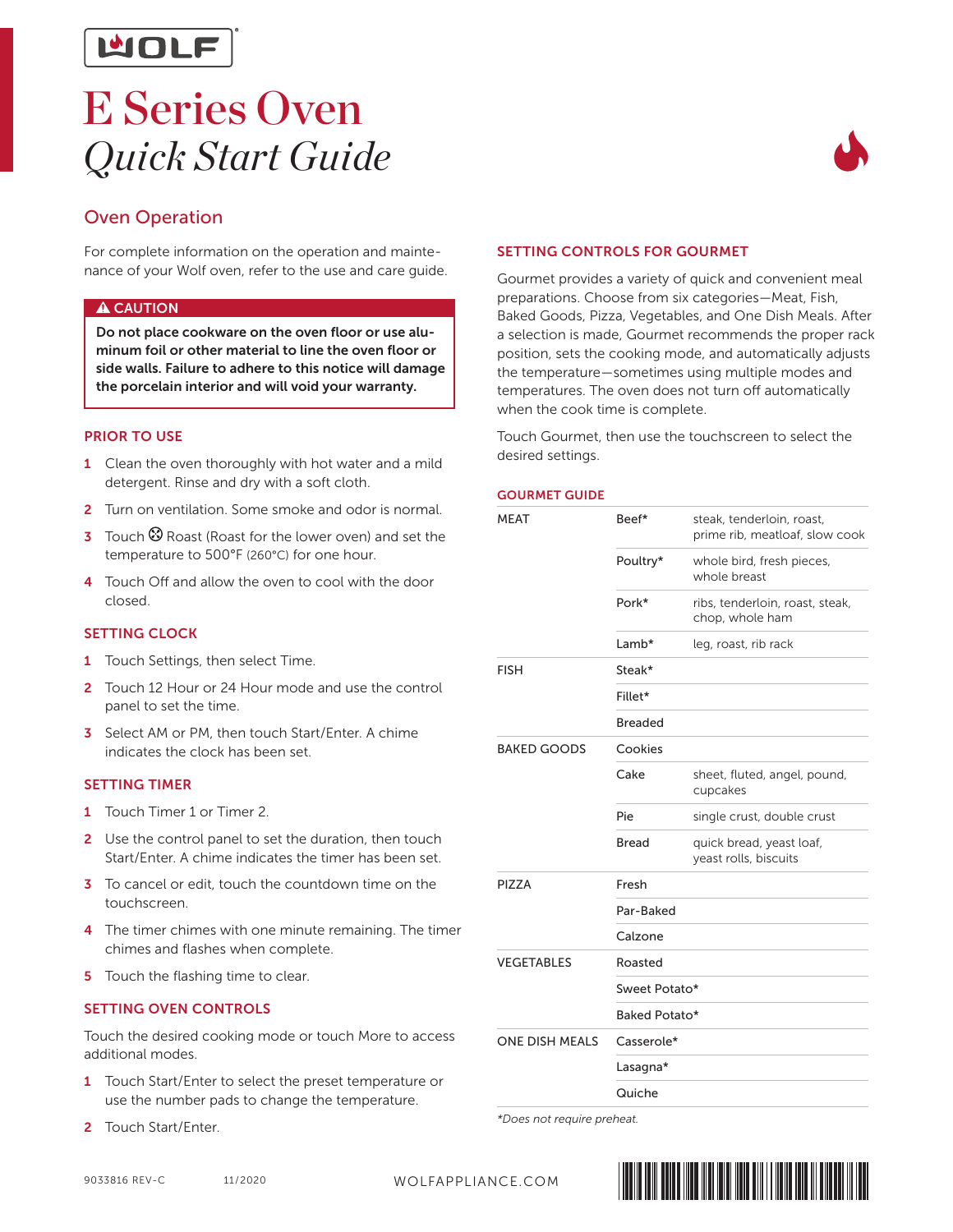

## E Series Oven *Quick Start Guide*



## Oven Operation

For complete information on the operation and maintenance of your Wolf oven, refer to the use and care guide.

#### **A** CAUTION

Do not place cookware on the oven floor or use aluminum foil or other material to line the oven floor or side walls. Failure to adhere to this notice will damage the porcelain interior and will void your warranty.

#### PRIOR TO USE

- 1 Clean the oven thoroughly with hot water and a mild detergent. Rinse and dry with a soft cloth.
- 2 Turn on ventilation. Some smoke and odor is normal.
- 3 Touch  $\otimes$  Roast (Roast for the lower oven) and set the temperature to 500°F (260°C) for one hour.
- 4 Touch Off and allow the oven to cool with the door closed.

#### **SETTING CLOCK**

- 1 Touch Settings, then select Time.
- 2 Touch 12 Hour or 24 Hour mode and use the control panel to set the time.
- 3 Select AM or PM, then touch Start/Enter. A chime indicates the clock has been set.

#### SETTING TIMER

- 1 Touch Timer 1 or Timer 2.
- 2 Use the control panel to set the duration, then touch Start/Enter. A chime indicates the timer has been set.
- 3 To cancel or edit, touch the countdown time on the touchscreen.
- 4 The timer chimes with one minute remaining. The timer chimes and flashes when complete.
- 5 Touch the flashing time to clear.

#### SETTING OVEN CONTROLS

Touch the desired cooking mode or touch More to access additional modes.

- 1 Touch Start/Enter to select the preset temperature or use the number pads to change the temperature.
- 2 Touch Start/Enter.

## SETTING CONTROLS FOR GOURMET

Gourmet provides a variety of quick and convenient meal preparations. Choose from six categories—Meat, Fish, Baked Goods, Pizza, Vegetables, and One Dish Meals. After a selection is made, Gourmet recommends the proper rack position, sets the cooking mode, and automatically adjusts the temperature—sometimes using multiple modes and temperatures. The oven does not turn off automatically when the cook time is complete.

Touch Gourmet, then use the touchscreen to select the desired settings.

#### GOURMET GUIDE

| MEAT                  | Beef*          | steak, tenderloin, roast,<br>prime rib, meatloaf, slow cook |  |
|-----------------------|----------------|-------------------------------------------------------------|--|
|                       | Poultry*       | whole bird, fresh pieces,<br>whole breast                   |  |
|                       | Pork*          | ribs, tenderloin, roast, steak,<br>chop, whole ham          |  |
|                       | Lamb*          | leg, roast, rib rack                                        |  |
| <b>FISH</b>           | Steak*         |                                                             |  |
|                       | Fillet*        |                                                             |  |
|                       | <b>Breaded</b> |                                                             |  |
| <b>BAKED GOODS</b>    | Cookies        |                                                             |  |
|                       | Cake           | sheet, fluted, angel, pound,<br>cupcakes                    |  |
|                       | Pie            | single crust, double crust                                  |  |
|                       | <b>Bread</b>   | quick bread, yeast loaf,<br>yeast rolls, biscuits           |  |
| PIZZA                 | Fresh          |                                                             |  |
|                       | Par-Baked      |                                                             |  |
|                       | Calzone        |                                                             |  |
| <b>VEGETABLES</b>     | Roasted        |                                                             |  |
|                       | Sweet Potato*  |                                                             |  |
|                       | Baked Potato*  |                                                             |  |
| <b>ONE DISH MEALS</b> | Casserole*     |                                                             |  |
|                       | Lasagna*       |                                                             |  |
|                       | Quiche         |                                                             |  |

*\*Does not require preheat.*